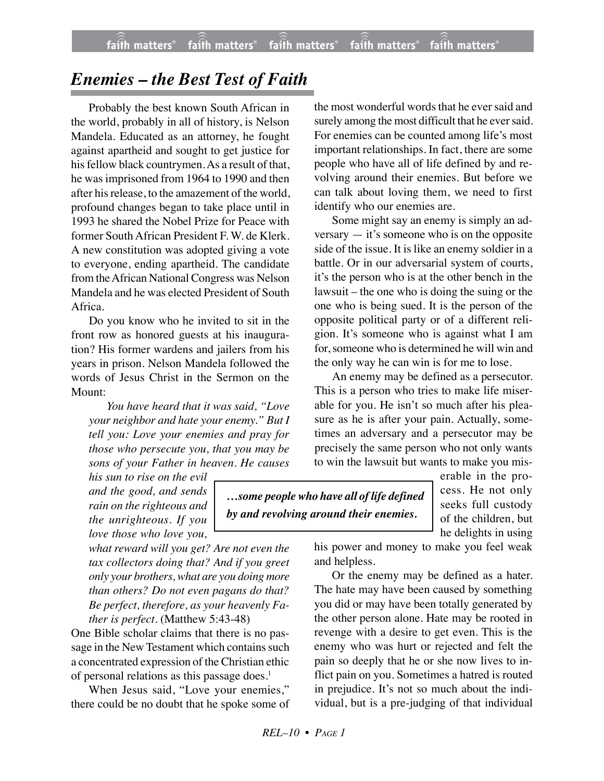## *Enemies – the Best Test of Faith*

Probably the best known South African in the world, probably in all of history, is Nelson Mandela. Educated as an attorney, he fought against apartheid and sought to get justice for his fellow black countrymen. As a result of that, he was imprisoned from 1964 to 1990 and then after his release, to the amazement of the world, profound changes began to take place until in 1993 he shared the Nobel Prize for Peace with former South African President F. W. de Klerk. A new constitution was adopted giving a vote to everyone, ending apartheid. The candidate from the African National Congress was Nelson Mandela and he was elected President of South Africa.

Do you know who he invited to sit in the front row as honored guests at his inauguration? His former wardens and jailers from his years in prison. Nelson Mandela followed the words of Jesus Christ in the Sermon on the Mount:

*You have heard that it was said, "Love your neighbor and hate your enemy." But I tell you: Love your enemies and pray for those who persecute you, that you may be sons of your Father in heaven. He causes*

*his sun to rise on the evil and the good, and sends rain on the righteous and the unrighteous. If you love those who love you,*

*what reward will you get? Are not even the tax collectors doing that? And if you greet only your brothers, what are you doing more than others? Do not even pagans do that? Be perfect, therefore, as your heavenly Father is perfect.* (Matthew 5:43-48)

One Bible scholar claims that there is no passage in the New Testament which contains such a concentrated expression of the Christian ethic of personal relations as this passage does.<sup>1</sup>

When Jesus said, "Love your enemies," there could be no doubt that he spoke some of

the most wonderful words that he ever said and surely among the most difficult that he ever said. For enemies can be counted among life's most important relationships. In fact, there are some people who have all of life defined by and revolving around their enemies. But before we can talk about loving them, we need to first identify who our enemies are.

Some might say an enemy is simply an adversary — it's someone who is on the opposite side of the issue. It is like an enemy soldier in a battle. Or in our adversarial system of courts, it's the person who is at the other bench in the lawsuit – the one who is doing the suing or the one who is being sued. It is the person of the opposite political party or of a different religion. It's someone who is against what I am for, someone who is determined he will win and the only way he can win is for me to lose.

An enemy may be defined as a persecutor. This is a person who tries to make life miserable for you. He isn't so much after his pleasure as he is after your pain. Actually, sometimes an adversary and a persecutor may be precisely the same person who not only wants to win the lawsuit but wants to make you mis-

*…some people who have all of life defined by and revolving around their enemies.*

erable in the process. He not only seeks full custody of the children, but he delights in using

his power and money to make you feel weak and helpless.

Or the enemy may be defined as a hater. The hate may have been caused by something you did or may have been totally generated by the other person alone. Hate may be rooted in revenge with a desire to get even. This is the enemy who was hurt or rejected and felt the pain so deeply that he or she now lives to inflict pain on you. Sometimes a hatred is routed in prejudice. It's not so much about the individual, but is a pre-judging of that individual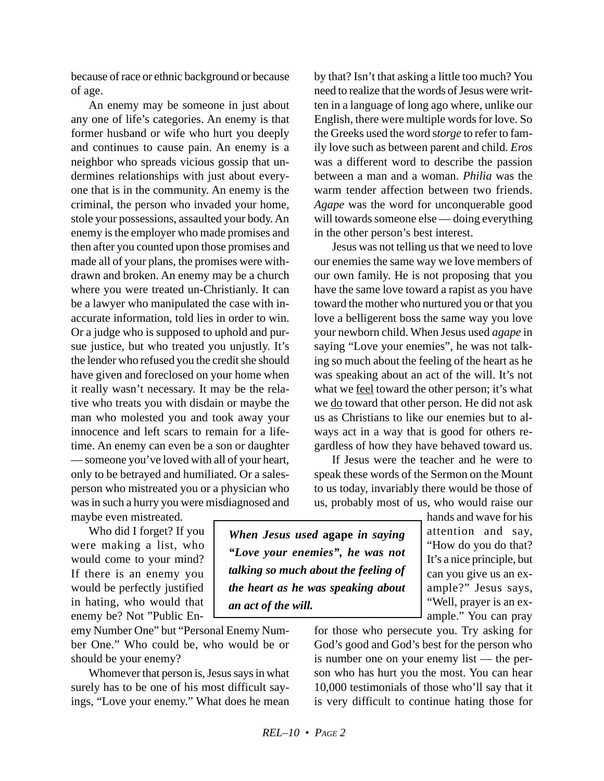because of race or ethnic background or because of age.

An enemy may be someone in just about any one of life's categories. An enemy is that former husband or wife who hurt you deeply and continues to cause pain. An enemy is a neighbor who spreads vicious gossip that undermines relationships with just about everyone that is in the community. An enemy is the criminal, the person who invaded your home, stole your possessions, assaulted your body. An enemy is the employer who made promises and then after you counted upon those promises and made all of your plans, the promises were withdrawn and broken. An enemy may be a church where you were treated un-Christianly. It can be a lawyer who manipulated the case with inaccurate information, told lies in order to win. Or a judge who is supposed to uphold and pursue justice, but who treated you unjustly. It's the lender who refused you the credit she should have given and foreclosed on your home when it really wasn't necessary. It may be the relative who treats you with disdain or maybe the man who molested you and took away your innocence and left scars to remain for a lifetime. An enemy can even be a son or daughter — someone you've loved with all of your heart, only to be betrayed and humiliated. Or a salesperson who mistreated you or a physician who was in such a hurry you were misdiagnosed and

by that? Isn't that asking a little too much? You need to realize that the words of Jesus were written in a language of long ago where, unlike our English, there were multiple words for love. So the Greeks used the word s*torge* to refer to family love such as between parent and child. *Eros* was a different word to describe the passion between a man and a woman. *Philia* was the warm tender affection between two friends. *Agape* was the word for unconquerable good will towards someone else — doing everything in the other person's best interest.

Jesus was not telling us that we need to love our enemies the same way we love members of our own family. He is not proposing that you have the same love toward a rapist as you have toward the mother who nurtured you or that you love a belligerent boss the same way you love your newborn child. When Jesus used *agape* in saying "Love your enemies", he was not talking so much about the feeling of the heart as he was speaking about an act of the will. It's not what we feel toward the other person; it's what we do toward that other person. He did not ask us as Christians to like our enemies but to always act in a way that is good for others regardless of how they have behaved toward us.

If Jesus were the teacher and he were to speak these words of the Sermon on the Mount to us today, invariably there would be those of us, probably most of us, who would raise our

maybe even mistreated. Who did I forget? If you

were making a list, who would come to your mind? If there is an enemy you would be perfectly justified in hating, who would that enemy be? Not "Public En-

emy Number One" but "Personal Enemy Number One." Who could be, who would be or should be your enemy?

Whomever that person is, Jesus says in what surely has to be one of his most difficult sayings, "Love your enemy." What does he mean

*When Jesus used* **agape** *in saying "Love your enemies", he was not talking so much about the feeling of the heart as he was speaking about an act of the will.*

hands and wave for his attention and say, "How do you do that? It's a nice principle, but can you give us an example?" Jesus says, "Well, prayer is an example." You can pray

for those who persecute you. Try asking for God's good and God's best for the person who is number one on your enemy list — the person who has hurt you the most. You can hear 10,000 testimonials of those who'll say that it is very difficult to continue hating those for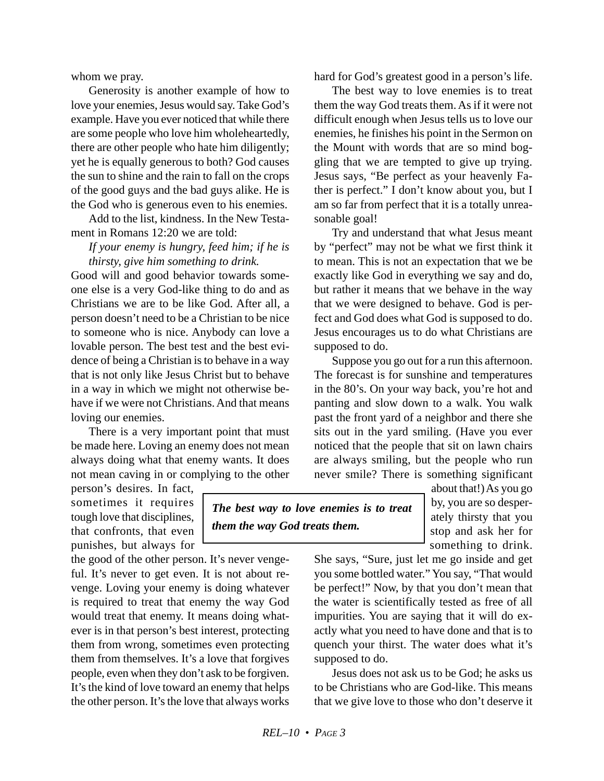whom we pray.

Generosity is another example of how to love your enemies, Jesus would say. Take God's example. Have you ever noticed that while there are some people who love him wholeheartedly, there are other people who hate him diligently; yet he is equally generous to both? God causes the sun to shine and the rain to fall on the crops of the good guys and the bad guys alike. He is the God who is generous even to his enemies.

Add to the list, kindness. In the New Testament in Romans 12:20 we are told:

*If your enemy is hungry, feed him; if he is thirsty, give him something to drink.*

Good will and good behavior towards someone else is a very God-like thing to do and as Christians we are to be like God. After all, a person doesn't need to be a Christian to be nice to someone who is nice. Anybody can love a lovable person. The best test and the best evidence of being a Christian is to behave in a way that is not only like Jesus Christ but to behave in a way in which we might not otherwise behave if we were not Christians. And that means loving our enemies.

There is a very important point that must be made here. Loving an enemy does not mean always doing what that enemy wants. It does not mean caving in or complying to the other

person's desires. In fact, sometimes it requires tough love that disciplines, that confronts, that even punishes, but always for

the good of the other person. It's never vengeful. It's never to get even. It is not about revenge. Loving your enemy is doing whatever is required to treat that enemy the way God would treat that enemy. It means doing whatever is in that person's best interest, protecting them from wrong, sometimes even protecting them from themselves. It's a love that forgives people, even when they don't ask to be forgiven. It's the kind of love toward an enemy that helps the other person. It's the love that always works hard for God's greatest good in a person's life.

The best way to love enemies is to treat them the way God treats them. As if it were not difficult enough when Jesus tells us to love our enemies, he finishes his point in the Sermon on the Mount with words that are so mind boggling that we are tempted to give up trying. Jesus says, "Be perfect as your heavenly Father is perfect." I don't know about you, but I am so far from perfect that it is a totally unreasonable goal!

Try and understand that what Jesus meant by "perfect" may not be what we first think it to mean. This is not an expectation that we be exactly like God in everything we say and do, but rather it means that we behave in the way that we were designed to behave. God is perfect and God does what God is supposed to do. Jesus encourages us to do what Christians are supposed to do.

Suppose you go out for a run this afternoon. The forecast is for sunshine and temperatures in the 80's. On your way back, you're hot and panting and slow down to a walk. You walk past the front yard of a neighbor and there she sits out in the yard smiling. (Have you ever noticed that the people that sit on lawn chairs are always smiling, but the people who run never smile? There is something significant

*The best way to love enemies is to treat them the way God treats them.*

about that!) As you go by, you are so desperately thirsty that you stop and ask her for something to drink.

She says, "Sure, just let me go inside and get you some bottled water." You say, "That would be perfect!" Now, by that you don't mean that the water is scientifically tested as free of all impurities. You are saying that it will do exactly what you need to have done and that is to quench your thirst. The water does what it's supposed to do.

Jesus does not ask us to be God; he asks us to be Christians who are God-like. This means that we give love to those who don't deserve it